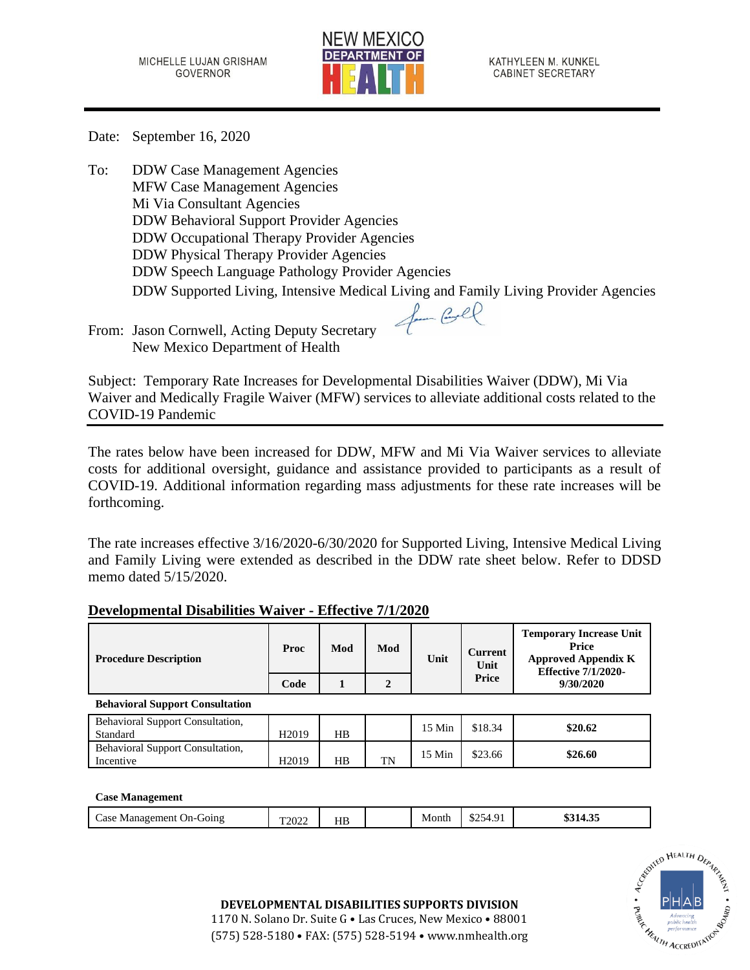

KATHYLEEN M. KUNKEL **CABINET SECRETARY** 

**Temporary Increase Unit** 

Date: September 16, 2020

To: DDW Case Management Agencies MFW Case Management Agencies Mi Via Consultant Agencies DDW Behavioral Support Provider Agencies DDW Occupational Therapy Provider Agencies DDW Physical Therapy Provider Agencies DDW Speech Language Pathology Provider Agencies DDW Supported Living, Intensive Medical Living and Family Living Provider Agencies for Cool

From: Jason Cornwell, Acting Deputy Secretary New Mexico Department of Health

Subject: Temporary Rate Increases for Developmental Disabilities Waiver (DDW), Mi Via Waiver and Medically Fragile Waiver (MFW) services to alleviate additional costs related to the COVID-19 Pandemic

The rates below have been increased for DDW, MFW and Mi Via Waiver services to alleviate costs for additional oversight, guidance and assistance provided to participants as a result of COVID-19. Additional information regarding mass adjustments for these rate increases will be forthcoming.

The rate increases effective 3/16/2020-6/30/2020 for Supported Living, Intensive Medical Living and Family Living were extended as described in the DDW rate sheet below. Refer to DDSD memo dated 5/15/2020.

| <b>Procedure Description</b>                        | <b>Proc</b>       | Mod | Mod | Unit        | <b>Current</b><br>Unit | Temporary mercase ome<br>Price<br><b>Approved Appendix K</b><br><b>Effective 7/1/2020-</b> |
|-----------------------------------------------------|-------------------|-----|-----|-------------|------------------------|--------------------------------------------------------------------------------------------|
|                                                     | Code              |     | 2   |             | Price                  | 9/30/2020                                                                                  |
| <b>Behavioral Support Consultation</b>              |                   |     |     |             |                        |                                                                                            |
| <b>Behavioral Support Consultation,</b><br>Standard | H <sub>2019</sub> | HВ  |     | $15$ Min    | \$18.34                | \$20.62                                                                                    |
| Behavioral Support Consultation,                    |                   |     |     | $1 \in M$ . | 00000                  | 0200                                                                                       |

## **Developmental Disabilities Waiver - Effective 7/1/2020**

## **Case Management**

|  | $\angle$ ase<br>Management<br>G01n9<br>$On-C$ | T <sub>2022</sub> | HB |  | Month | ሶሳድ<br>$\sim$ $\sim$<br>$\cdot$<br>╮△<br>ر∠ت<br>エ・ノエ | $\sim$<br>\$314.35 |
|--|-----------------------------------------------|-------------------|----|--|-------|------------------------------------------------------|--------------------|
|--|-----------------------------------------------|-------------------|----|--|-------|------------------------------------------------------|--------------------|

**Incentive Manufacturies 120.60**<br>Incentive H2019 HB TN 15 Min \$23.66 \$26.60



**DEVELOPMENTAL DISABILITIES SUPPORTS DIVISION**

1170 N. Solano Dr. Suite G • Las Cruces, New Mexico • 88001 (575) 528-5180 • FAX: (575) 528-5194 • www.nmhealth.org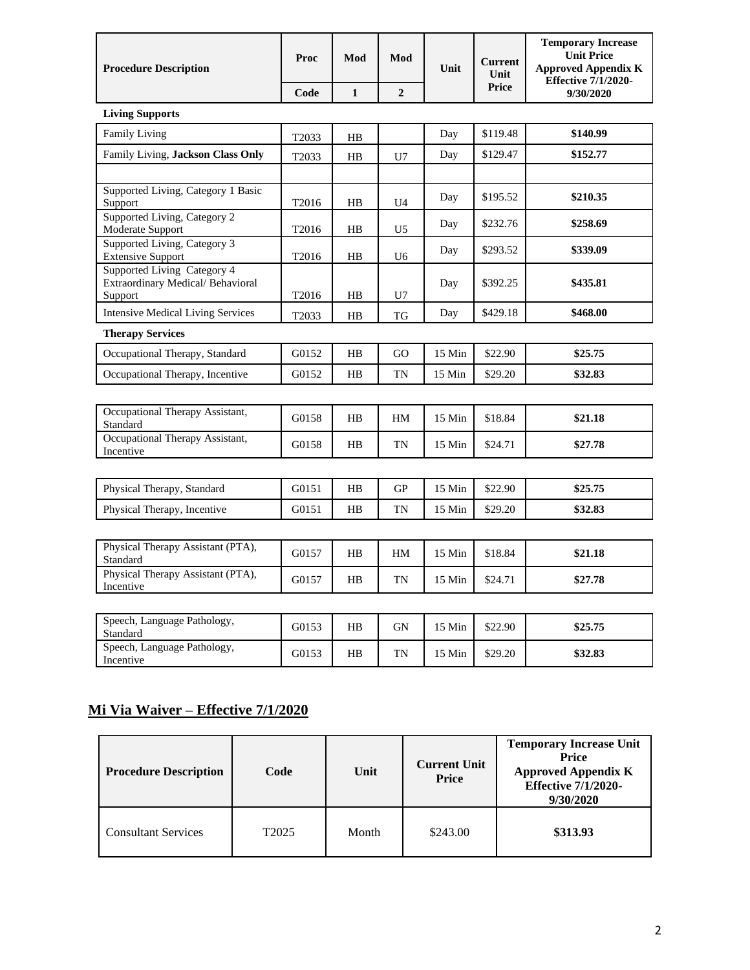| <b>Procedure Description</b>                                               | Proc              | Mod            | Mod            | Unit   | <b>Current</b><br>Unit | <b>Temporary Increase</b><br><b>Unit Price</b><br><b>Approved Appendix K</b><br><b>Effective 7/1/2020-</b> |  |  |
|----------------------------------------------------------------------------|-------------------|----------------|----------------|--------|------------------------|------------------------------------------------------------------------------------------------------------|--|--|
|                                                                            | Code              | $\mathbf{1}$   | $\overline{2}$ |        | Price                  | 9/30/2020                                                                                                  |  |  |
| <b>Living Supports</b>                                                     |                   |                |                |        |                        |                                                                                                            |  |  |
| <b>Family Living</b>                                                       | T2033             | HB             |                | Day    | \$119.48               | \$140.99                                                                                                   |  |  |
| Family Living, Jackson Class Only                                          | T2033             | H <sub>B</sub> | U7             | Day    | \$129.47               | \$152.77                                                                                                   |  |  |
|                                                                            |                   |                |                |        |                        |                                                                                                            |  |  |
| Supported Living, Category 1 Basic<br>Support                              | T <sub>2016</sub> | HB             | U4             | Day    | \$195.52               | \$210.35                                                                                                   |  |  |
| Supported Living, Category 2<br>Moderate Support                           | T2016             | HB             | U <sub>5</sub> | Day    | \$232.76               | \$258.69                                                                                                   |  |  |
| Supported Living, Category 3<br><b>Extensive Support</b>                   | T2016             | HB             | U6             | Day    | \$293.52               | \$339.09                                                                                                   |  |  |
| Supported Living Category 4<br>Extraordinary Medical/Behavioral<br>Support | T2016             | HB             | U7             | Day    | \$392.25               | \$435.81                                                                                                   |  |  |
| <b>Intensive Medical Living Services</b>                                   | T2033             | HB             | TG             | Day    | \$429.18               | \$468.00                                                                                                   |  |  |
| <b>Therapy Services</b>                                                    |                   |                |                |        |                        |                                                                                                            |  |  |
| Occupational Therapy, Standard                                             | G0152             | HB             | GO             | 15 Min | \$22.90                | \$25.75                                                                                                    |  |  |
| Occupational Therapy, Incentive                                            | G0152             | $_{\rm HB}$    | TN             | 15 Min | \$29.20                | \$32.83                                                                                                    |  |  |
|                                                                            |                   |                |                |        |                        |                                                                                                            |  |  |
| Occupational Therapy Assistant,<br>Standard                                | G0158             | HB             | HM             | 15 Min | \$18.84                | \$21.18                                                                                                    |  |  |
| Occupational Therapy Assistant,<br>Incentive                               | G0158             | HB             | TN             | 15 Min | \$24.71                | \$27.78                                                                                                    |  |  |
|                                                                            |                   |                |                |        |                        |                                                                                                            |  |  |
| Physical Therapy, Standard                                                 | G0151             | $_{\rm HB}$    | GP             | 15 Min | \$22.90                | \$25.75                                                                                                    |  |  |
| Physical Therapy, Incentive                                                | G0151             | HB             | TN             | 15 Min | \$29.20                | \$32.83                                                                                                    |  |  |
|                                                                            |                   |                |                |        |                        |                                                                                                            |  |  |
| Physical Therapy Assistant (PTA),<br>Standard                              | G0157             | HB             | HM             | 15 Min | \$18.84                | \$21.18                                                                                                    |  |  |
| Physical Therapy Assistant (PTA),<br>Incentive                             | G0157             | $_{\rm HB}$    | TN             | 15 Min | \$24.71                | \$27.78                                                                                                    |  |  |
|                                                                            |                   |                |                |        |                        |                                                                                                            |  |  |
| Speech, Language Pathology,<br>Standard                                    | G0153             | HB             | GN             | 15 Min | \$22.90                | \$25.75                                                                                                    |  |  |
| Speech, Language Pathology,<br>Incentive                                   | G0153             | HB             | TN             | 15 Min | \$29.20                | \$32.83                                                                                                    |  |  |

## **Mi Via Waiver – Effective 7/1/2020**

| <b>Procedure Description</b> | Code              | Unit  | <b>Current Unit</b><br><b>Price</b> | <b>Temporary Increase Unit</b><br><b>Price</b><br><b>Approved Appendix K</b><br><b>Effective 7/1/2020-</b><br>9/30/2020 |
|------------------------------|-------------------|-------|-------------------------------------|-------------------------------------------------------------------------------------------------------------------------|
| <b>Consultant Services</b>   | T <sub>2025</sub> | Month | \$243.00                            | \$313.93                                                                                                                |